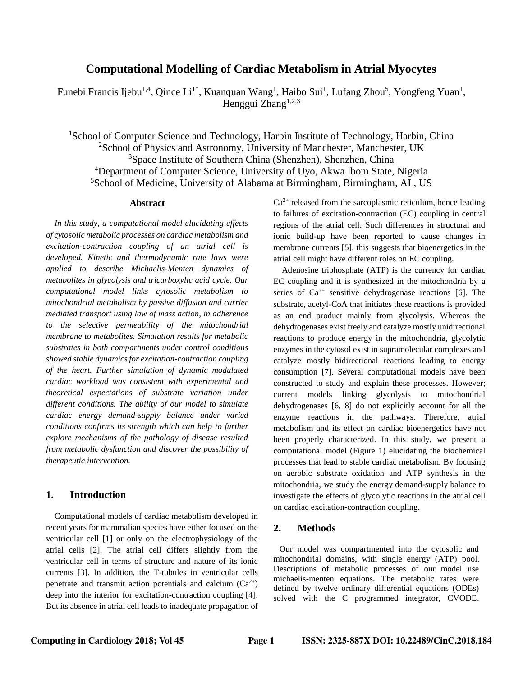# **Computational Modelling of Cardiac Metabolism in Atrial Myocytes**

Funebi Francis Ijebu<sup>1,4</sup>, Qince Li<sup>1\*</sup>, Kuanquan Wang<sup>1</sup>, Haibo Sui<sup>1</sup>, Lufang Zhou<sup>5</sup>, Yongfeng Yuan<sup>1</sup>, Henggui  $Z$ hang<sup>1,2,3</sup>

<sup>1</sup>School of Computer Science and Technology, Harbin Institute of Technology, Harbin, China <sup>2</sup>School of Physics and Astronomy, University of Manchester, Manchester, UK <sup>3</sup>Space Institute of Southern China (Shenzhen), Shenzhen, China <sup>4</sup>Department of Computer Science, University of Uyo, Akwa Ibom State, Nigeria <sup>5</sup>School of Medicine, University of Alabama at Birmingham, Birmingham, AL, US

#### **Abstract**

*In this study, a computational model elucidating effects of cytosolic metabolic processes on cardiac metabolism and excitation-contraction coupling of an atrial cell is developed. Kinetic and thermodynamic rate laws were applied to describe Michaelis-Menten dynamics of metabolites in glycolysis and tricarboxylic acid cycle. Our computational model links cytosolic metabolism to mitochondrial metabolism by passive diffusion and carrier mediated transport using law of mass action, in adherence to the selective permeability of the mitochondrial membrane to metabolites. Simulation results for metabolic substrates in both compartments under control conditions showed stable dynamics for excitation-contraction coupling of the heart. Further simulation of dynamic modulated cardiac workload was consistent with experimental and theoretical expectations of substrate variation under different conditions. The ability of our model to simulate cardiac energy demand-supply balance under varied conditions confirms its strength which can help to further explore mechanisms of the pathology of disease resulted from metabolic dysfunction and discover the possibility of therapeutic intervention.*

# **1. Introduction**

Computational models of cardiac metabolism developed in recent years for mammalian species have either focused on the ventricular cell [1] or only on the electrophysiology of the atrial cells [2]. The atrial cell differs slightly from the ventricular cell in terms of structure and nature of its ionic currents [3]. In addition, the T-tubules in ventricular cells penetrate and transmit action potentials and calcium  $(Ca^{2+})$ deep into the interior for excitation-contraction coupling [4]. But its absence in atrial cell leads to inadequate propagation of  $Ca<sup>2+</sup>$  released from the sarcoplasmic reticulum, hence leading to failures of excitation-contraction (EC) coupling in central regions of the atrial cell. Such differences in structural and ionic build-up have been reported to cause changes in membrane currents [5], this suggests that bioenergetics in the atrial cell might have different roles on EC coupling.

Adenosine triphosphate (ATP) is the currency for cardiac EC coupling and it is synthesized in the mitochondria by a series of  $Ca^{2+}$  sensitive dehydrogenase reactions [6]. The substrate, acetyl-CoA that initiates these reactions is provided as an end product mainly from glycolysis. Whereas the dehydrogenases exist freely and catalyze mostly unidirectional reactions to produce energy in the mitochondria, glycolytic enzymes in the cytosol exist in supramolecular complexes and catalyze mostly bidirectional reactions leading to energy consumption [7]. Several computational models have been constructed to study and explain these processes. However; current models linking glycolysis to mitochondrial dehydrogenases [6, 8] do not explicitly account for all the enzyme reactions in the pathways. Therefore, atrial metabolism and its effect on cardiac bioenergetics have not been properly characterized. In this study, we present a computational model (Figure 1) elucidating the biochemical processes that lead to stable cardiac metabolism. By focusing on aerobic substrate oxidation and ATP synthesis in the mitochondria, we study the energy demand-supply balance to investigate the effects of glycolytic reactions in the atrial cell on cardiac excitation-contraction coupling.

## **2. Methods**

Our model was compartmented into the cytosolic and mitochondrial domains, with single energy (ATP) pool. Descriptions of metabolic processes of our model use michaelis-menten equations. The metabolic rates were defined by twelve ordinary differential equations (ODEs) solved with the C programmed integrator, CVODE.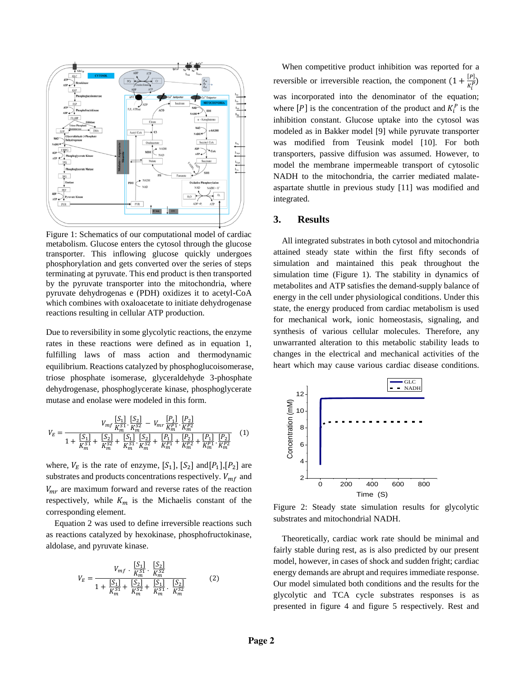

Figure 1: Schematics of our computational model of cardiac metabolism. Glucose enters the cytosol through the glucose transporter. This inflowing glucose quickly undergoes phosphorylation and gets converted over the series of steps terminating at pyruvate. This end product is then transported by the pyruvate transporter into the mitochondria, where pyruvate dehydrogenas e (PDH) oxidizes it to acetyl-CoA which combines with oxaloacetate to initiate dehydrogenase reactions resulting in cellular ATP production.

Due to reversibility in some glycolytic reactions, the enzyme rates in these reactions were defined as in equation 1, fulfilling laws of mass action and thermodynamic equilibrium. Reactions catalyzed by phosphoglucoisomerase, triose phosphate isomerase, glyceraldehyde 3-phosphate dehydrogenase, phosphoglycerate kinase, phosphoglycerate mutase and enolase were modeled in this form.

$$
V_E = \frac{V_{mf} \frac{[S_1]}{K_{m}^{S1}} \cdot \frac{[S_2]}{K_{m}^{S2}} - V_{mr} \frac{[P_1]}{K_{m}^{P1}} \cdot \frac{[P_2]}{K_{m}^{P2}}}{1 + \frac{[S_1]}{K_{m}^{S1}} + \frac{[S_2]}{K_{m}^{S2}} + \frac{[S_1]}{K_{m}^{S1}} \cdot \frac{[S_2]}{K_{m}^{S2}} + \frac{[P_1]}{K_{m}^{P1}} + \frac{[P_2]}{K_{m}^{P2}} + \frac{[P_1]}{K_{m}^{P1}} \cdot \frac{[P_2]}{K_{m}^{P2}}} \tag{1}
$$

where,  $V_E$  is the rate of enzyme,  $[S_1]$ ,  $[S_2]$  and  $[P_1]$ ,  $[P_2]$  are substrates and products concentrations respectively.  $V_{mf}$  and  $V_{mr}$  are maximum forward and reverse rates of the reaction respectively, while  $K_m$  is the Michaelis constant of the corresponding element.

Equation 2 was used to define irreversible reactions such as reactions catalyzed by hexokinase, phosphofructokinase, aldolase, and pyruvate kinase.

$$
V_E = \frac{V_{mf} \cdot \frac{[S_1]}{K_m^{S1}} \cdot \frac{[S_2]}{K_m^{S2}}}{1 + \frac{[S_1]}{K_m^{S1}} + \frac{[S_2]}{K_m^{S2}} + \frac{[S_1]}{K_m^{S1}} \cdot \frac{[S_2]}{K_m^{S2}}} \tag{2}
$$

When competitive product inhibition was reported for a reversible or irreversible reaction, the component  $(1 + \frac{[P]}{[P]}$  $\frac{1}{K_i^P}$ was incorporated into the denominator of the equation; where  $[P]$  is the concentration of the product and  $K_i^P$  is the inhibition constant. Glucose uptake into the cytosol was modeled as in Bakker model [9] while pyruvate transporter was modified from Teusink model [10]. For both transporters, passive diffusion was assumed. However, to model the membrane impermeable transport of cytosolic NADH to the mitochondria, the carrier mediated malateaspartate shuttle in previous study [11] was modified and integrated.

#### **3. Results**

All integrated substrates in both cytosol and mitochondria attained steady state within the first fifty seconds of simulation and maintained this peak throughout the simulation time (Figure 1). The stability in dynamics of metabolites and ATP satisfies the demand-supply balance of energy in the cell under physiological conditions. Under this state, the energy produced from cardiac metabolism is used for mechanical work, ionic homeostasis, signaling, and synthesis of various cellular molecules. Therefore, any unwarranted alteration to this metabolic stability leads to changes in the electrical and mechanical activities of the heart which may cause various cardiac disease conditions.



Figure 2: Steady state simulation results for glycolytic substrates and mitochondrial NADH.

Theoretically, cardiac work rate should be minimal and fairly stable during rest, as is also predicted by our present model, however, in cases of shock and sudden fright; cardiac energy demands are abrupt and requires immediate response. Our model simulated both conditions and the results for the glycolytic and TCA cycle substrates responses is as presented in figure 4 and figure 5 respectively. Rest and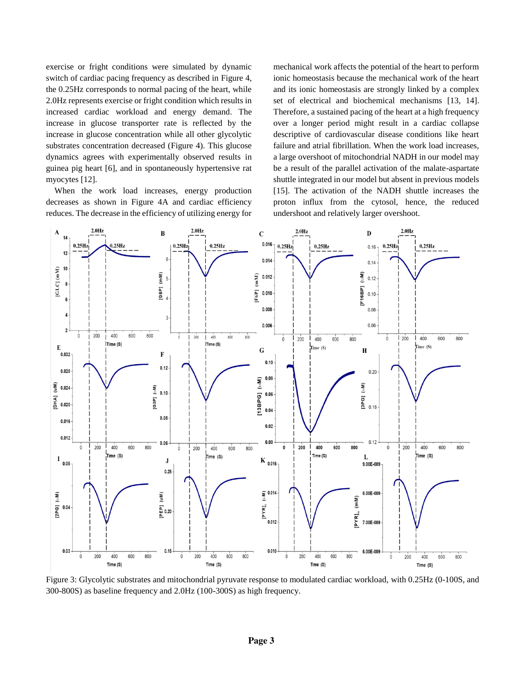exercise or fright conditions were simulated by dynamic switch of cardiac pacing frequency as described in Figure 4, the 0.25Hz corresponds to normal pacing of the heart, while 2.0Hz represents exercise or fright condition which results in increased cardiac workload and energy demand. The increase in glucose transporter rate is reflected by the increase in glucose concentration while all other glycolytic substrates concentration decreased (Figure 4). This glucose dynamics agrees with experimentally observed results in guinea pig heart [6], and in spontaneously hypertensive rat myocytes [12].

When the work load increases, energy production decreases as shown in Figure 4A and cardiac efficiency reduces. The decrease in the efficiency of utilizing energy for mechanical work affects the potential of the heart to perform ionic homeostasis because the mechanical work of the heart and its ionic homeostasis are strongly linked by a complex set of electrical and biochemical mechanisms [13, 14]. Therefore, a sustained pacing of the heart at a high frequency over a longer period might result in a cardiac collapse descriptive of cardiovascular disease conditions like heart failure and atrial fibrillation. When the work load increases, a large overshoot of mitochondrial NADH in our model may be a result of the parallel activation of the malate-aspartate shuttle integrated in our model but absent in previous models [15]. The activation of the NADH shuttle increases the proton influx from the cytosol, hence, the reduced undershoot and relatively larger overshoot.



Figure 3: Glycolytic substrates and mitochondrial pyruvate response to modulated cardiac workload, with 0.25Hz (0-100S, and 300-800S) as baseline frequency and 2.0Hz (100-300S) as high frequency.